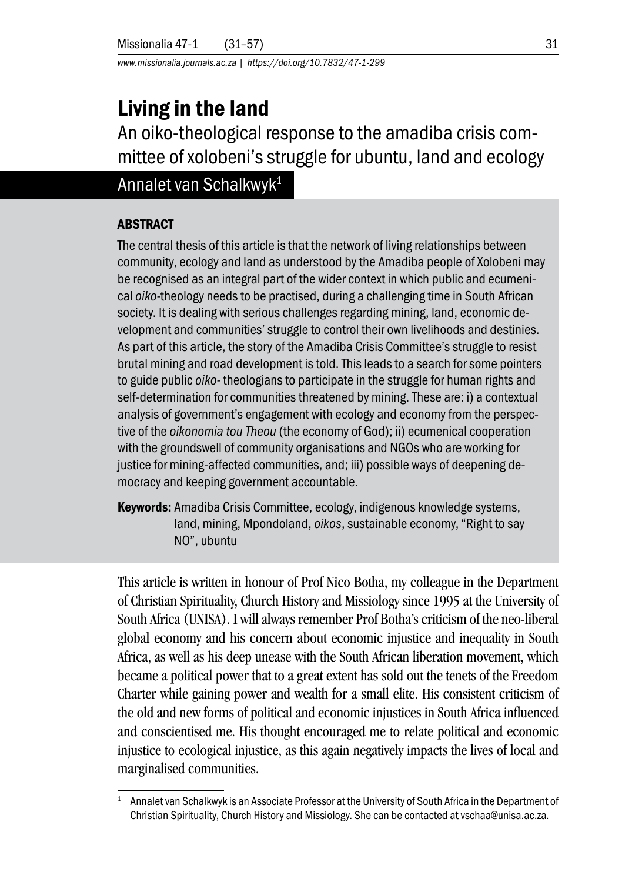*www.missionalia.journals.ac.za | https://doi.org/10.7832/47-1-299*

# Living in the land

An oiko-theological response to the amadiba crisis committee of xolobeni's struggle for ubuntu, land and ecology

## Annalet van Schalkwyk1

### ABSTRACT

The central thesis of this article is that the network of living relationships between community, ecology and land as understood by the Amadiba people of Xolobeni may be recognised as an integral part of the wider context in which public and ecumenical *oiko-*theology needs to be practised, during a challenging time in South African society. It is dealing with serious challenges regarding mining, land, economic development and communities' struggle to control their own livelihoods and destinies. As part of this article, the story of the Amadiba Crisis Committee's struggle to resist brutal mining and road development is told. This leads to a search for some pointers to guide public *oiko-* theologians to participate in the struggle for human rights and self-determination for communities threatened by mining. These are: i) a contextual analysis of government's engagement with ecology and economy from the perspective of the *oikonomia tou Theou* (the economy of God); ii) ecumenical cooperation with the groundswell of community organisations and NGOs who are working for justice for mining-affected communities, and; iii) possible ways of deepening democracy and keeping government accountable.

Keywords: Amadiba Crisis Committee, ecology, indigenous knowledge systems, land, mining, Mpondoland, *oikos*, sustainable economy, "Right to say NO", ubuntu

This article is written in honour of Prof Nico Botha, my colleague in the Department of Christian Spirituality, Church History and Missiology since 1995 at the University of South Africa (UNISA). I will always remember Prof Botha's criticism of the neo-liberal global economy and his concern about economic injustice and inequality in South Africa, as well as his deep unease with the South African liberation movement, which became a political power that to a great extent has sold out the tenets of the Freedom Charter while gaining power and wealth for a small elite. His consistent criticism of the old and new forms of political and economic injustices in South Africa influenced and conscientised me. His thought encouraged me to relate political and economic injustice to ecological injustice, as this again negatively impacts the lives of local and marginalised communities.

<sup>&</sup>lt;sup>1</sup> Annalet van Schalkwyk is an Associate Professor at the University of South Africa in the Department of Christian Spirituality, Church History and Missiology. She can be contacted at vschaa@unisa.ac.za.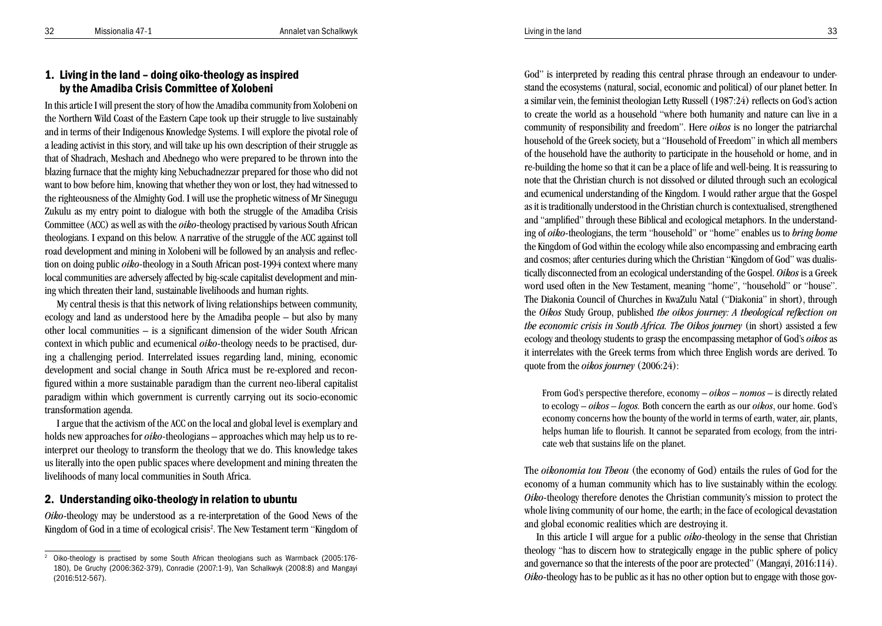## 1. Living in the land – doing oiko-theology as inspired by the Amadiba Crisis Committee of Xolobeni

In this article I will present the story of how the Amadiba community from Xolobeni on the Northern Wild Coast of the Eastern Cape took up their struggle to live sustainably and in terms of their Indigenous Knowledge Systems. I will explore the pivotal role of a leading activist in this story, and will take up his own description of their struggle as that of Shadrach, Meshach and Abednego who were prepared to be thrown into the blazing furnace that the mighty king Nebuchadnezzar prepared for those who did not want to bow before him, knowing that whether they won or lost, they had witnessed to the righteousness of the Almighty God. I will use the prophetic witness of Mr Sinegugu Zukulu as my entry point to dialogue with both the struggle of the Amadiba Crisis Committee (ACC) as well as with the *oiko-*theology practised by various South African theologians. I expand on this below. A narrative of the struggle of the ACC against toll road development and mining in Xolobeni will be followed by an analysis and reflec tion on doing public *oiko-*theology in a South African post-1994 context where many local communities are adversely affected by big-scale capitalist development and min ing which threaten their land, sustainable livelihoods and human rights.

My central thesis is that this network of living relationships between community, ecology and land as understood here by the Amadiba people – but also by many other local communities – is a significant dimension of the wider South African context in which public and ecumenical *oiko-*theology needs to be practised, during a challenging period. Interrelated issues regarding land, mining, economic development and social change in South Africa must be re-explored and recon figured within a more sustainable paradigm than the current neo-liberal capitalist paradigm within which government is currently carrying out its socio-economic transformation agenda.

I argue that the activism of the ACC on the local and global level is exemplary and holds new approaches for *oiko-*theologians – approaches which may help us to reinterpret our theology to transform the theology that we do. This knowledge takes us literally into the open public spaces where development and mining threaten the livelihoods of many local communities in South Africa.

## 2. Understanding oiko-theology in relation to ubuntu

*Oiko-*theology may be understood as a re-interpretation of the Good News of the Kingdom of God in a time of ecological crisis 2 . The New Testament term "Kingdom of God" is interpreted by reading this central phrase through an endeavour to understand the ecosystems (natural, social, economic and political) of our planet better. In a similar vein, the feminist theologian Letty Russell (1987:24) reflects on God's action to create the world as a household "where both humanity and nature can live in a community of responsibility and freedom". Here *oikos* is no longer the patriarchal household of the Greek society, but a "Household of Freedom" in which all members of the household have the authority to participate in the household or home, and in re-building the home so that it can be a place of life and well-being. It is reassuring to note that the Christian church is not dissolved or diluted through such an ecological and ecumenical understanding of the Kingdom. I would rather argue that the Gospel as it is traditionally understood in the Christian church is contextualised, strengthened and "amplified" through these Biblical and ecological metaphors. In the understand ing of *oiko-*theologians, the term "household" or "home" enables us to *bring home* the Kingdom of God within the ecology while also encompassing and embracing earth and cosmos; after centuries during which the Christian "Kingdom of God" was dualis tically disconnected from an ecological understanding of the Gospel. *Oikos* is a Greek word used often in the New Testament, meaning "home", "household" or "house". The Diakonia Council of Churches in KwaZulu Natal ("Diakonia" in short), through the *Oikos* Study Group, published *the oikos journey: A theological reflection on the economic crisis in South Africa. The Oikos journey* (in short) assisted a few ecology and theology students to grasp the encompassing metaphor of God's *oikos* as it interrelates with the Greek terms from which three English words are derived. To quote from the *oikos journey* (2006:24):

From God's perspective therefore, economy – *oikos – nomos* – is directly related to ecology – *oikos – logos.* Both concern the earth as our *oikos*, our home. God's economy concerns how the bounty of the world in terms of earth, water, air, plants, helps human life to flourish. It cannot be separated from ecology, from the intricate web that sustains life on the planet.

The *oikonomia tou Theou* (the economy of God) entails the rules of God for the economy of a human community which has to live sustainably within the ecology. *Oiko-*theology therefore denotes the Christian community's mission to protect the whole living community of our home, the earth; in the face of ecological devastation and global economic realities which are destroying it.

In this article I will argue for a public *oiko-*theology in the sense that Christian theology "has to discern how to strategically engage in the public sphere of policy and governance so that the interests of the poor are protected" (Mangayi, 2016:114). *Oiko-*theology has to be public as it has no other option but to engage with those gov-

<sup>2</sup> Oiko-theology is practised by some South African theologians such as Warmback (2005:176- 180), De Gruchy (2006:362-379), Conradie (2007:1-9), Van Schalkwyk (2008:8) and Mangayi (2016:512-567).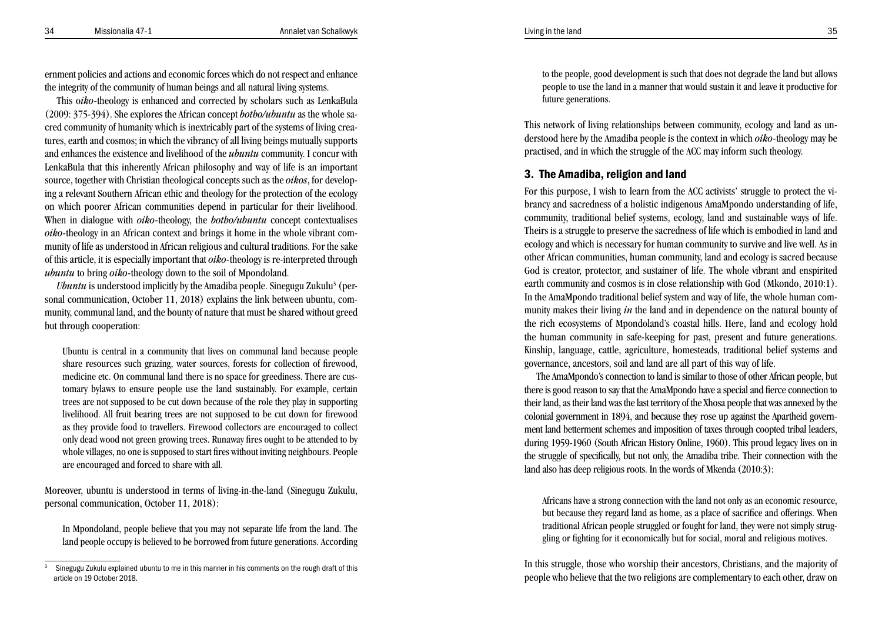ernment policies and actions and economic forces which do not respect and enhance the integrity of the community of human beings and all natural living systems.

This o*iko-*theology is enhanced and corrected by scholars such as LenkaBula (2009: 375-394). She explores the African concept *botho/ubuntu* as the whole sa cred community of humanity which is inextricably part of the systems of living crea tures, earth and cosmos; in which the vibrancy of all living beings mutually supports and enhances the existence and livelihood of the *ubuntu* community. I concur with LenkaBula that this inherently African philosophy and way of life is an important source, together with Christian theological concepts such as the *oikos*, for develop ing a relevant Southern African ethic and theology for the protection of the ecology on which poorer African communities depend in particular for their livelihood. When in dialogue with *oiko-*theology, the *botho/ubuntu* concept contextualises *oiko-*theology in an African context and brings it home in the whole vibrant com munity of life as understood in African religious and cultural traditions. For the sake of this article, it is especially important that *oiko-*theology is re-interpreted through *ubuntu* to bring *oiko-*theology down to the soil of Mpondoland.

*Ubuntu* is understood implicitly by the Amadiba people. Sinegugu Zukulu 3 (personal communication, October 11, 2018) explains the link between ubuntu, community, communal land, and the bounty of nature that must be shared without greed but through cooperation:

Ubuntu is central in a community that lives on communal land because people share resources such grazing, water sources, forests for collection of firewood, medicine etc. On communal land there is no space for greediness. There are cus tomary bylaws to ensure people use the land sustainably. For example, certain trees are not supposed to be cut down because of the role they play in supporting livelihood. All fruit bearing trees are not supposed to be cut down for firewood as they provide food to travellers. Firewood collectors are encouraged to collect only dead wood not green growing trees. Runaway fires ought to be attended to by whole villages, no one is supposed to start fires without inviting neighbours. People are encouraged and forced to share with all.

Moreover, ubuntu is understood in terms of living-in-the-land (Sinegugu Zukulu, personal communication, October 11, 2018):

In Mpondoland, people believe that you may not separate life from the land. The land people occupy is believed to be borrowed from future generations. According to the people, good development is such that does not degrade the land but allows people to use the land in a manner that would sustain it and leave it productive for future generations.

This network of living relationships between community, ecology and land as un derstood here by the Amadiba people is the context in which *oiko-*theology may be practised, and in which the struggle of the ACC may inform such theology.

## 3. The Amadiba, religion and land

For this purpose, I wish to learn from the ACC activists' struggle to protect the vi brancy and sacredness of a holistic indigenous AmaMpondo understanding of life, community, traditional belief systems, ecology, land and sustainable ways of life. Theirs is a struggle to preserve the sacredness of life which is embodied in land and ecology and which is necessary for human community to survive and live well. As in other African communities, human community, land and ecology is sacred because God is creator, protector, and sustainer of life. The whole vibrant and enspirited earth community and cosmos is in close relationship with God (Mkondo, 2010:1). In the AmaMpondo traditional belief system and way of life, the whole human com munity makes their living *in* the land and in dependence on the natural bounty of the rich ecosystems of Mpondoland's coastal hills. Here, land and ecology hold the human community in safe-keeping for past, present and future generations. Kinship, language, cattle, agriculture, homesteads, traditional belief systems and governance, ancestors, soil and land are all part of this way of life.

The AmaMpondo's connection to land is similar to those of other African people, but there is good reason to say that the AmaMpondo have a special and fierce connection to their land, as their land was the last territory of the Xhosa people that was annexed by the colonial government in 1894, and because they rose up against the Apartheid govern ment land betterment schemes and imposition of taxes through coopted tribal leaders, during 1959-1960 (South African History Online, 1960). This proud legacy lives on in the struggle of specifically, but not only, the Amadiba tribe. Their connection with the land also has deep religious roots. In the words of Mkenda (2010:3):

Africans have a strong connection with the land not only as an economic resource, but because they regard land as home, as a place of sacrifice and offerings. When traditional African people struggled or fought for land, they were not simply strug gling or fighting for it economically but for social, moral and religious motives.

In this struggle, those who worship their ancestors, Christians, and the majority of people who believe that the two religions are complementary to each other, draw on

<sup>3</sup> Sinegugu Zukulu explained ubuntu to me in this manner in his comments on the rough draft of this article on 19 October 2018.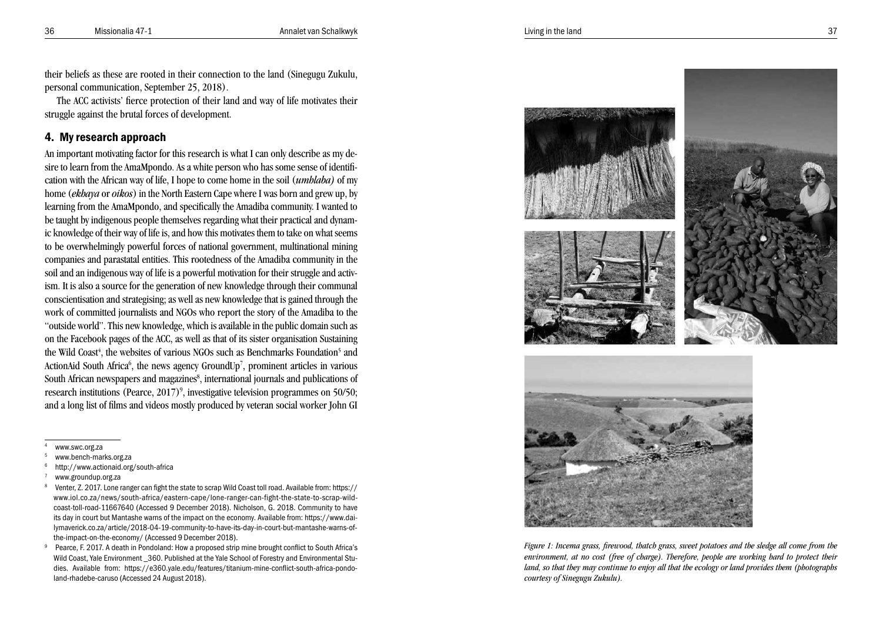their beliefs as these are rooted in their connection to the land (Sinegugu Zukulu, personal communication, September 25, 2018).

The ACC activists' fierce protection of their land and way of life motivates their struggle against the brutal forces of development.

## 4. My research approach

An important motivating factor for this research is what I can only describe as my desire to learn from the AmaMpondo. As a white person who has some sense of identification with the African way of life, I hope to come home in the soil (*umhlaba)* of my home (*ekhaya* or *oikos*) in the North Eastern Cape where I was born and grew up, by learning from the AmaMpondo, and specifically the Amadiba community. I wanted to be taught by indigenous people themselves regarding what their practical and dynamic knowledge of their way of life is, and how this motivates them to take on what seems to be overwhelmingly powerful forces of national government, multinational mining companies and parastatal entities. This rootedness of the Amadiba community in the soil and an indigenous way of life is a powerful motivation for their struggle and activism. It is also a source for the generation of new knowledge through their communal conscientisation and strategising; as well as new knowledge that is gained through the work of committed journalists and NGOs who report the story of the Amadiba to the "outside world". This new knowledge, which is available in the public domain such as on the Facebook pages of the ACC, as well as that of its sister organisation Sustaining the Wild Coast<sup>4</sup>, the websites of various NGOs such as Benchmarks Foundation<sup>5</sup> and ActionAid South Africa<sup>6</sup>, the news agency GroundUp<sup>7</sup>, prominent articles in various South African newspapers and magazines<sup>8</sup>, international journals and publications of research institutions (Pearce, 2017)<sup>9</sup>, investigative television programmes on 50/50; and a long list of films and videos mostly produced by veteran social worker John GI

- 
- 4 www.swc.org.za<br>5 www.bench-marks.org.za<br>6 http://www.actionaid.org/south-africa<br>7 www.groundup.org.za<br>8 Venter, Z. 2017. Lone ranger can fight the state to scrap Wild Coast toll road. Available from: https:// www.iol.co.za/news/south-africa/eastern-cape/lone-ranger-can-fight-the-state-to-scrap-wildcoast-toll-road-11667640 (Accessed 9 December 2018). Nicholson, G. 2018. Community to have its day in court but Mantashe warns of the impact on the economy. Available from: https://www.dailymaverick.co.za/article/2018-04-19-community-to-have-its-day-in-court-but-mantashe-warns-ofthe-impact-on-the-economy/ (Accessed 9 December 2018).
- 9 Pearce, F. 2017. A death in Pondoland: How a proposed strip mine brought conflict to South Africa's Wild Coast, Yale Environment  $\,$  360. Published at the Yale School of Forestry and Environmental Studies. Available from: https://e360.yale.edu/features/titanium-mine-conflict-south-africa-pondoland-rhadebe-caruso (Accessed 24 August 2018).





*Figure 1: Incema grass, firewood, thatch grass, sweet potatoes and the sledge all come from the environment, at no cost (free of charge). Therefore, people are working hard to protect their land, so that they may continue to enjoy all that the ecology or land provides them (photographs courtesy of Sinegugu Zukulu).*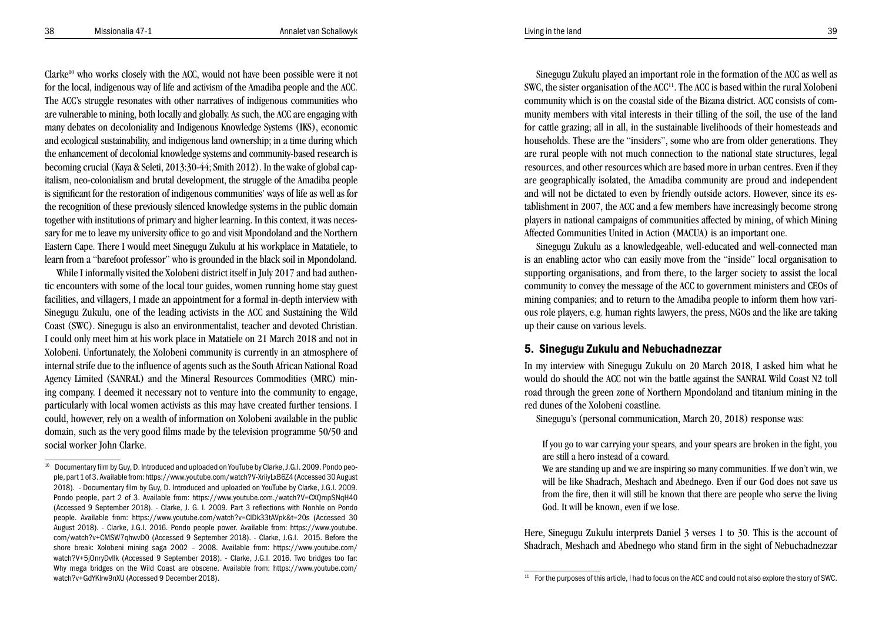Clarke<sup>10</sup> who works closely with the ACC, would not have been possible were it not for the local, indigenous way of life and activism of the Amadiba people and the ACC. The ACC's struggle resonates with other narratives of indigenous communities who are vulnerable to mining, both locally and globally. As such, the ACC are engaging with many debates on decoloniality and Indigenous Knowledge Systems (IKS), economic and ecological sustainability, and indigenous land ownership; in a time during which the enhancement of decolonial knowledge systems and community-based research is becoming crucial (Kaya & Seleti, 2013:30-44; Smith 2012). In the wake of global capitalism, neo-colonialism and brutal development, the struggle of the Amadiba people is significant for the restoration of indigenous communities' ways of life as well as for the recognition of these previously silenced knowledge systems in the public domain together with institutions of primary and higher learning. In this context, it was necessary for me to leave my university office to go and visit Mpondoland and the Northern Eastern Cape. There I would meet Sinegugu Zukulu at his workplace in Matatiele, to learn from a "barefoot professor" who is grounded in the black soil in Mpondoland.

While I informally visited the Xolobeni district itself in July 2017 and had authentic encounters with some of the local tour guides, women running home stay guest facilities, and villagers, I made an appointment for a formal in-depth interview with Sinegugu Zukulu, one of the leading activists in the ACC and Sustaining the Wild Coast (SWC). Sinegugu is also an environmentalist, teacher and devoted Christian. I could only meet him at his work place in Matatiele on 21 March 2018 and not in Xolobeni. Unfortunately, the Xolobeni community is currently in an atmosphere of internal strife due to the influence of agents such as the South African National Road Agency Limited (SANRAL) and the Mineral Resources Commodities (MRC) mining company. I deemed it necessary not to venture into the community to engage, particularly with local women activists as this may have created further tensions. I could, however, rely on a wealth of information on Xolobeni available in the public domain, such as the very good films made by the television programme 50/50 and social worker John Clarke.

Sinegugu Zukulu played an important role in the formation of the ACC as well as SWC, the sister organisation of the ACC<sup>11</sup>. The ACC is based within the rural Xolobeni community which is on the coastal side of the Bizana district. ACC consists of community members with vital interests in their tilling of the soil, the use of the land for cattle grazing; all in all, in the sustainable livelihoods of their homesteads and households. These are the "insiders", some who are from older generations. They are rural people with not much connection to the national state structures, legal resources, and other resources which are based more in urban centres. Even if they are geographically isolated, the Amadiba community are proud and independent and will not be dictated to even by friendly outside actors. However, since its establishment in 2007, the ACC and a few members have increasingly become strong players in national campaigns of communities affected by mining, of which Mining Affected Communities United in Action (MACUA) is an important one.

Sinegugu Zukulu as a knowledgeable, well-educated and well-connected man is an enabling actor who can easily move from the "inside" local organisation to supporting organisations, and from there, to the larger society to assist the local community to convey the message of the ACC to government ministers and CEOs of mining companies; and to return to the Amadiba people to inform them how various role players, e.g. human rights lawyers, the press, NGOs and the like are taking up their cause on various levels.

## 5. Sinegugu Zukulu and Nebuchadnezzar

In my interview with Sinegugu Zukulu on 20 March 2018, I asked him what he would do should the ACC not win the battle against the SANRAL Wild Coast N2 toll road through the green zone of Northern Mpondoland and titanium mining in the red dunes of the Xolobeni coastline.

Sinegugu's (personal communication, March 20, 2018) response was:

If you go to war carrying your spears, and your spears are broken in the fight, you are still a hero instead of a coward.

We are standing up and we are inspiring so many communities. If we don't win, we will be like Shadrach, Meshach and Abednego. Even if our God does not save us from the fire, then it will still be known that there are people who serve the living God. It will be known, even if we lose.

Here, Sinegugu Zukulu interprets Daniel 3 verses 1 to 30. This is the account of Shadrach, Meshach and Abednego who stand firm in the sight of Nebuchadnezzar

<sup>&</sup>lt;sup>10</sup> Documentary film by Guy, D. Introduced and uploaded on YouTube by Clarke, J.G.I. 2009. Pondo people, part 1 of 3. Available from: https://www.youtube.com/watch?V-XriiyLxB6Z4 (Accessed 30 August 2018). - Documentary film by Guy, D. Introduced and uploaded on YouTube by Clarke, J.G.I. 2009. Pondo people, part 2 of 3. Available from: https://www.youtube.com./watch?V=CXQmpSNqH40 (Accessed 9 September 2018). - Clarke, J. G. I. 2009. Part 3 reflections with Nonhle on Pondo people. Available from: https://www.youtube.com/watch?v=ClDk33tAVpk&t=20s (Accessed 30 August 2018). - Clarke, J.G.I. 2016. Pondo people power. Available from: https://www.youtube. com/watch?v+CMSW7qhwvD0 (Accessed 9 September 2018). - Clarke, J.G.I. 2015. Before the shore break: Xolobeni mining saga 2002 – 2008. Available from: https://www.youtube.com/ watch?V+5jOnryDvllk (Accessed 9 September 2018). - Clarke, J.G.I. 2016. Two bridges too far: Why mega bridges on the Wild Coast are obscene. Available from: https://www.youtube.com/ watch?v+GdYKlrw9nXU (Accessed 9 December 2018).

<sup>&</sup>lt;sup>11</sup> For the purposes of this article, I had to focus on the ACC and could not also explore the story of SWC.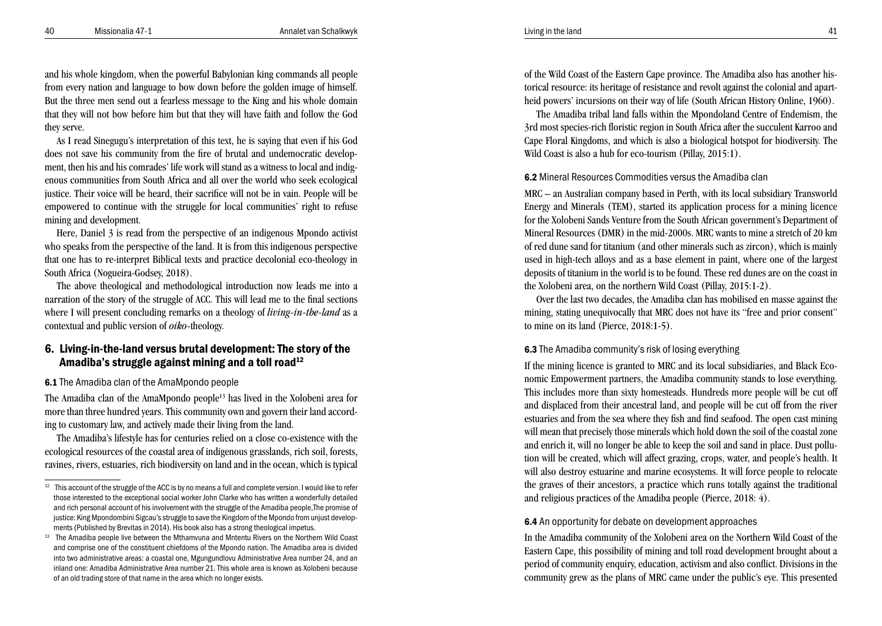and his whole kingdom, when the powerful Babylonian king commands all people from every nation and language to bow down before the golden image of himself. But the three men send out a fearless message to the King and his whole domain that they will not bow before him but that they will have faith and follow the God they serve.

As I read Sinegugu's interpretation of this text, he is saying that even if his God does not save his community from the fire of brutal and undemocratic develop ment, then his and his comrades' life work will stand as a witness to local and indig enous communities from South Africa and all over the world who seek ecological justice. Their voice will be heard, their sacrifice will not be in vain. People will be empowered to continue with the struggle for local communities' right to refuse mining and development.

Here, Daniel 3 is read from the perspective of an indigenous Mpondo activist who speaks from the perspective of the land. It is from this indigenous perspective that one has to re-interpret Biblical texts and practice decolonial eco-theology in South Africa (Nogueira-Godsey, 2018).

The above theological and methodological introduction now leads me into a narration of the story of the struggle of ACC. This will lead me to the final sections where I will present concluding remarks on a theology of *living-in-the-land* as a contextual and public version of *oiko-*theology.

## 6. Living-in-the-land versus brutal development: The story of the Amadiba's struggle against mining and a toll road<sup>12</sup>

6.1 The Amadiba clan of the AmaMpondo people

The Amadiba clan of the AmaMpondo people13 has lived in the Xolobeni area for more than three hundred years. This community own and govern their land accord ing to customary law, and actively made their living from the land.

The Amadiba's lifestyle has for centuries relied on a close co-existence with the ecological resources of the coastal area of indigenous grasslands, rich soil, forests, ravines, rivers, estuaries, rich biodiversity on land and in the ocean, which is typical

of the Wild Coast of the Eastern Cape province. The Amadiba also has another his torical resource: its heritage of resistance and revolt against the colonial and apart heid powers' incursions on their way of life (South African History Online, 1960).

The Amadiba tribal land falls within the Mpondoland Centre of Endemism, the 3rd most species-rich floristic region in South Africa after the succulent Karroo and Cape Floral Kingdoms, and which is also a biological hotspot for biodiversity. The Wild Coast is also a hub for eco-tourism (Pillay, 2015:1).

## 6.2 Mineral Resources Commodities versus the Amadiba clan

MRC – an Australian company based in Perth, with its local subsidiary Transworld Energy and Minerals (TEM), started its application process for a mining licence for the Xolobeni Sands Venture from the South African government's Department of Mineral Resources (DMR) in the mid-2000s. MRC wants to mine a stretch of 20 km of red dune sand for titanium (and other minerals such as zircon), which is mainly used in high-tech alloys and as a base element in paint, where one of the largest deposits of titanium in the world is to be found. These red dunes are on the coast in the Xolobeni area, on the northern Wild Coast (Pillay, 2015:1-2).

Over the last two decades, the Amadiba clan has mobilised en masse against the mining, stating unequivocally that MRC does not have its "free and prior consent" to mine on its land (Pierce, 2018:1-5).

#### 6.3 The Amadiba community's risk of losing everything

If the mining licence is granted to MRC and its local subsidiaries, and Black Eco nomic Empowerment partners, the Amadiba community stands to lose everything. This includes more than sixty homesteads. Hundreds more people will be cut off and displaced from their ancestral land, and people will be cut off from the river estuaries and from the sea where they fish and find seafood. The open cast mining will mean that precisely those minerals which hold down the soil of the coastal zone and enrich it, will no longer be able to keep the soil and sand in place. Dust pollu tion will be created, which will affect grazing, crops, water, and people's health. It will also destroy estuarine and marine ecosystems. It will force people to relocate the graves of their ancestors, a practice which runs totally against the traditional and religious practices of the Amadiba people (Pierce, 2018: 4).

#### 6.4 An opportunity for debate on development approaches

In the Amadiba community of the Xolobeni area on the Northern Wild Coast of the Eastern Cape, this possibility of mining and toll road development brought about a period of community enquiry, education, activism and also conflict. Divisions in the community grew as the plans of MRC came under the public's eye. This presented

<sup>&</sup>lt;sup>12</sup> This account of the struggle of the ACC is by no means a full and complete version. I would like to refer those interested to the exceptional social worker John Clarke who has written a wonderfully detailed and rich personal account of his involvement with the struggle of the Amadiba people,The promise of justice: King Mpondombini Sigcau's struggle to save the Kingdom of the Mpondo from unjust develop ments (Published by Brevitas in 2014). His book also has a strong theological impetus.<br><sup>13</sup> The Amadiba people live between the Mthamvuna and Mntentu Rivers on the Northern Wild Coast

and comprise one of the constituent chiefdoms of the Mpondo nation. The Amadiba area is divided into two administrative areas: a coastal one, Mgungundlovu Administrative Area number 24, and an inland one: Amadiba Administrative Area number 21. This whole area is known as Xolobeni because of an old trading store of that name in the area which no longer exists.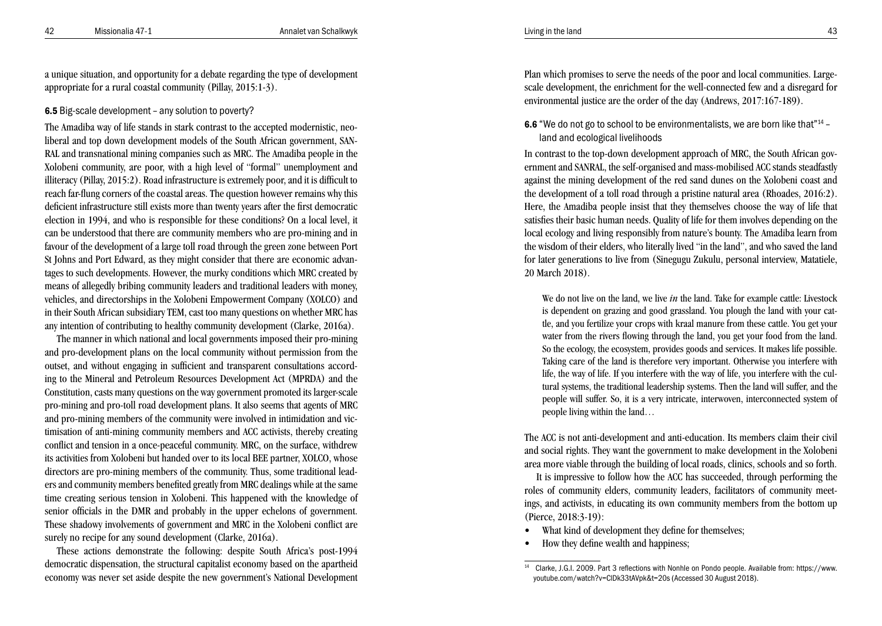a unique situation, and opportunity for a debate regarding the type of development appropriate for a rural coastal community (Pillay, 2015:1-3).

#### 6.5 Big-scale development – any solution to poverty?

The Amadiba way of life stands in stark contrast to the accepted modernistic, neoliberal and top down development models of the South African government, SAN-RAL and transnational mining companies such as MRC. The Amadiba people in the Xolobeni community, are poor, with a high level of "formal" unemployment and illiteracy (Pillay, 2015:2). Road infrastructure is extremely poor, and it is difficult to reach far-flung corners of the coastal areas. The question however remains why this deficient infrastructure still exists more than twenty years after the first democratic election in 1994, and who is responsible for these conditions? On a local level, it can be understood that there are community members who are pro-mining and in favour of the development of a large toll road through the green zone between Port St Johns and Port Edward, as they might consider that there are economic advan tages to such developments. However, the murky conditions which MRC created by means of allegedly bribing community leaders and traditional leaders with money, vehicles, and directorships in the Xolobeni Empowerment Company (XOLCO) and in their South African subsidiary TEM, cast too many questions on whether MRC has any intention of contributing to healthy community development (Clarke, 2016a).

The manner in which national and local governments imposed their pro-mining and pro-development plans on the local community without permission from the outset, and without engaging in sufficient and transparent consultations accord ing to the Mineral and Petroleum Resources Development Act (MPRDA) and the Constitution, casts many questions on the way government promoted its larger-scale pro-mining and pro-toll road development plans. It also seems that agents of MRC and pro-mining members of the community were involved in intimidation and vic timisation of anti-mining community members and ACC activists, thereby creating conflict and tension in a once-peaceful community. MRC, on the surface, withdrew its activities from Xolobeni but handed over to its local BEE partner, XOLCO, whose directors are pro-mining members of the community. Thus, some traditional lead ers and community members benefited greatly from MRC dealings while at the same time creating serious tension in Xolobeni. This happened with the knowledge of senior officials in the DMR and probably in the upper echelons of government. These shadowy involvements of government and MRC in the Xolobeni conflict are surely no recipe for any sound development (Clarke, 2016a).

These actions demonstrate the following: despite South Africa's post-1994 democratic dispensation, the structural capitalist economy based on the apartheid economy was never set aside despite the new government's National Development Plan which promises to serve the needs of the poor and local communities. Largescale development, the enrichment for the well-connected few and a disregard for environmental justice are the order of the day (Andrews, 2017:167-189).

## **6.6** "We do not go to school to be environmentalists, we are born like that"<sup>14</sup> land and ecological livelihoods

In contrast to the top-down development approach of MRC, the South African gov ernment and SANRAL, the self-organised and mass-mobilised ACC stands steadfastly against the mining development of the red sand dunes on the Xolobeni coast and the development of a toll road through a pristine natural area (Rhoades, 2016:2). Here, the Amadiba people insist that they themselves choose the way of life that satisfies their basic human needs. Quality of life for them involves depending on the local ecology and living responsibly from nature's bounty. The Amadiba learn from the wisdom of their elders, who literally lived "in the land", and who saved the land for later generations to live from (Sinegugu Zukulu, personal interview, Matatiele, 20 March 2018).

We do not live on the land, we live *in* the land. Take for example cattle: Livestock is dependent on grazing and good grassland. You plough the land with your cat tle, and you fertilize your crops with kraal manure from these cattle. You get your water from the rivers flowing through the land, you get your food from the land. So the ecology, the ecosystem, provides goods and services. It makes life possible. Taking care of the land is therefore very important. Otherwise you interfere with life, the way of life. If you interfere with the way of life, you interfere with the cul tural systems, the traditional leadership systems. Then the land will suffer, and the people will suffer. So, it is a very intricate, interwoven, interconnected system of people living within the land…

The ACC is not anti-development and anti-education. Its members claim their civil and social rights. They want the government to make development in the Xolobeni area more viable through the building of local roads, clinics, schools and so forth.

It is impressive to follow how the ACC has succeeded, through performing the roles of community elders, community leaders, facilitators of community meet ings, and activists, in educating its own community members from the bottom up (Pierce, 2018:3-19):

- What kind of development they define for themselves:
- How they define wealth and happiness;

<sup>14</sup> Clarke, J.G.I. 2009. Part 3 reflections with Nonhle on Pondo people. Available from: https://www. youtube.com/watch?v=ClDk33tAVpk&t=20s (Accessed 30 August 2018).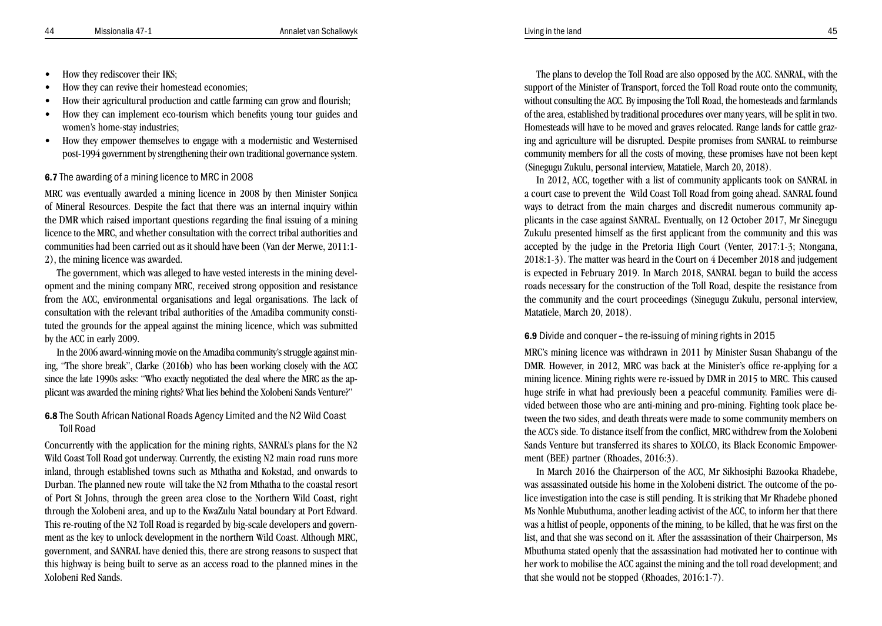- How they rediscover their IKS:
- How they can revive their homestead economies;
- How their agricultural production and cattle farming can grow and flourish:
- How they can implement eco-tourism which benefits young tour guides and women's home-stay industries;
- How they empower themselves to engage with a modernistic and Westernised post-1994 government by strengthening their own traditional governance system.

#### 6.7 The awarding of a mining licence to MRC in 2008

MRC was eventually awarded a mining licence in 2008 by then Minister Sonjica of Mineral Resources. Despite the fact that there was an internal inquiry within the DMR which raised important questions regarding the final issuing of a mining licence to the MRC, and whether consultation with the correct tribal authorities and communities had been carried out as it should have been (Van der Merwe, 2011:1- 2), the mining licence was awarded.

The government, which was alleged to have vested interests in the mining development and the mining company MRC, received strong opposition and resistance from the ACC, environmental organisations and legal organisations. The lack of consultation with the relevant tribal authorities of the Amadiba community constituted the grounds for the appeal against the mining licence, which was submitted by the ACC in early 2009.

In the 2006 award-winning movie on the Amadiba community's struggle against mining, "The shore break", Clarke (2016b) who has been working closely with the ACC since the late 1990s asks: "Who exactly negotiated the deal where the MRC as the applicant was awarded the mining rights? What lies behind the Xolobeni Sands Venture?"

6.8 The South African National Roads Agency Limited and the N2 Wild Coast Toll Road

Concurrently with the application for the mining rights, SANRAL's plans for the N2 Wild Coast Toll Road got underway. Currently, the existing N2 main road runs more inland, through established towns such as Mthatha and Kokstad, and onwards to Durban. The planned new route will take the N2 from Mthatha to the coastal resort of Port St Johns, through the green area close to the Northern Wild Coast, right through the Xolobeni area, and up to the KwaZulu Natal boundary at Port Edward. This re-routing of the N2 Toll Road is regarded by big-scale developers and government as the key to unlock development in the northern Wild Coast. Although MRC, government, and SANRAL have denied this, there are strong reasons to suspect that this highway is being built to serve as an access road to the planned mines in the Xolobeni Red Sands.

The plans to develop the Toll Road are also opposed by the ACC. SANRAL, with the support of the Minister of Transport, forced the Toll Road route onto the community, without consulting the ACC. By imposing the Toll Road, the homesteads and farmlands of the area, established by traditional procedures over many years, will be split in two. Homesteads will have to be moved and graves relocated. Range lands for cattle grazing and agriculture will be disrupted. Despite promises from SANRAL to reimburse community members for all the costs of moving, these promises have not been kept (Sinegugu Zukulu, personal interview, Matatiele, March 20, 2018).

In 2012, ACC, together with a list of community applicants took on SANRAL in a court case to prevent the Wild Coast Toll Road from going ahead. SANRAL found ways to detract from the main charges and discredit numerous community applicants in the case against SANRAL. Eventually, on 12 October 2017, Mr Sinegugu Zukulu presented himself as the first applicant from the community and this was accepted by the judge in the Pretoria High Court (Venter, 2017:1-3; Ntongana, 2018:1-3). The matter was heard in the Court on 4 December 2018 and judgement is expected in February 2019. In March 2018, SANRAL began to build the access roads necessary for the construction of the Toll Road, despite the resistance from the community and the court proceedings (Sinegugu Zukulu, personal interview, Matatiele, March 20, 2018).

#### 6.9 Divide and conquer – the re-issuing of mining rights in 2015

MRC's mining licence was withdrawn in 2011 by Minister Susan Shabangu of the DMR. However, in 2012, MRC was back at the Minister's office re-applying for a mining licence. Mining rights were re-issued by DMR in 2015 to MRC. This caused huge strife in what had previously been a peaceful community. Families were divided between those who are anti-mining and pro-mining. Fighting took place between the two sides, and death threats were made to some community members on the ACC's side. To distance itself from the conflict, MRC withdrew from the Xolobeni Sands Venture but transferred its shares to XOLCO, its Black Economic Empowerment (BEE) partner (Rhoades, 2016:3).

In March 2016 the Chairperson of the ACC, Mr Sikhosiphi Bazooka Rhadebe, was assassinated outside his home in the Xolobeni district. The outcome of the police investigation into the case is still pending. It is striking that Mr Rhadebe phoned Ms Nonhle Mubuthuma, another leading activist of the ACC, to inform her that there was a hitlist of people, opponents of the mining, to be killed, that he was first on the list, and that she was second on it. After the assassination of their Chairperson, Ms Mbuthuma stated openly that the assassination had motivated her to continue with her work to mobilise the ACC against the mining and the toll road development; and that she would not be stopped (Rhoades, 2016:1-7).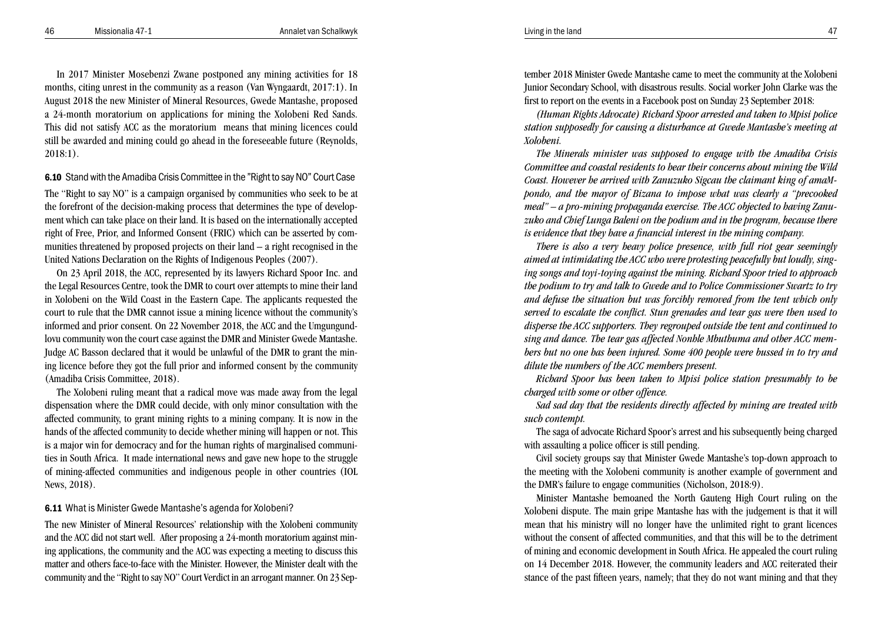In 2017 Minister Mosebenzi Zwane postponed any mining activities for 18 months, citing unrest in the community as a reason (Van Wyngaardt, 2017:1). In August 2018 the new Minister of Mineral Resources, Gwede Mantashe, proposed a 24-month moratorium on applications for mining the Xolobeni Red Sands. This did not satisfy ACC as the moratorium means that mining licences could still be awarded and mining could go ahead in the foreseeable future (Reynolds, 2018:1).

6.10 Stand with the Amadiba Crisis Committee in the "Right to say NO" Court Case

The "Right to say NO" is a campaign organised by communities who seek to be at the forefront of the decision-making process that determines the type of development which can take place on their land. It is based on the internationally accepted right of Free, Prior, and Informed Consent (FRIC) which can be asserted by communities threatened by proposed projects on their land – a right recognised in the United Nations Declaration on the Rights of Indigenous Peoples (2007).

On 23 April 2018, the ACC, represented by its lawyers Richard Spoor Inc. and the Legal Resources Centre, took the DMR to court over attempts to mine their land in Xolobeni on the Wild Coast in the Eastern Cape. The applicants requested the court to rule that the DMR cannot issue a mining licence without the community's informed and prior consent. On 22 November 2018, the ACC and the Umgungundlovu community won the court case against the DMR and Minister Gwede Mantashe. Judge AC Basson declared that it would be unlawful of the DMR to grant the mining licence before they got the full prior and informed consent by the community (Amadiba Crisis Committee, 2018).

The Xolobeni ruling meant that a radical move was made away from the legal dispensation where the DMR could decide, with only minor consultation with the affected community, to grant mining rights to a mining company. It is now in the hands of the affected community to decide whether mining will happen or not. This is a major win for democracy and for the human rights of marginalised communities in South Africa. It made international news and gave new hope to the struggle of mining-affected communities and indigenous people in other countries (IOL News, 2018).

#### 6.11 What is Minister Gwede Mantashe's agenda for Xolobeni?

The new Minister of Mineral Resources' relationship with the Xolobeni community and the ACC did not start well. After proposing a 24-month moratorium against mining applications, the community and the ACC was expecting a meeting to discuss this matter and others face-to-face with the Minister. However, the Minister dealt with the community and the "Right to say NO" Court Verdict in an arrogant manner. On 23 September 2018 Minister Gwede Mantashe came to meet the community at the Xolobeni Junior Secondary School, with disastrous results. Social worker John Clarke was the first to report on the events in a Facebook post on Sunday 23 September 2018:

*(Human Rights Advocate) Richard Spoor arrested and taken to Mpisi police station supposedly for causing a disturbance at Gwede Mantashe's meeting at Xolobeni.*

*The Minerals minister was supposed to engage with the Amadiba Crisis Committee and coastal residents to hear their concerns about mining the Wild Coast. However he arrived with Zanuzuko Sigcau the claimant king of amaMpondo, and the mayor of Bizana to impose what was clearly a "precooked meal" – a pro-mining propaganda exercise. The ACC objected to having Zanuzuko and Chief Lunga Baleni on the podium and in the program, because there is evidence that they have a financial interest in the mining company.*

*There is also a very heavy police presence, with full riot gear seemingly aimed at intimidating the ACC who were protesting peacefully but loudly, singing songs and toyi-toying against the mining. Richard Spoor tried to approach the podium to try and talk to Gwede and to Police Commissioner Swartz to try and defuse the situation but was forcibly removed from the tent which only served to escalate the conflict. Stun grenades and tear gas were then used to disperse the ACC supporters. They regrouped outside the tent and continued to sing and dance. The tear gas affected Nonhle Mbuthuma and other ACC members but no one has been injured. Some 400 people were bussed in to try and dilute the numbers of the ACC members present.*

*Richard Spoor has been taken to Mpisi police station presumably to be charged with some or other offence.*

*Sad sad day that the residents directly affected by mining are treated with such contempt.*

The saga of advocate Richard Spoor's arrest and his subsequently being charged with assaulting a police officer is still pending.

Civil society groups say that Minister Gwede Mantashe's top-down approach to the meeting with the Xolobeni community is another example of government and the DMR's failure to engage communities (Nicholson, 2018:9).

Minister Mantashe bemoaned the North Gauteng High Court ruling on the Xolobeni dispute. The main gripe Mantashe has with the judgement is that it will mean that his ministry will no longer have the unlimited right to grant licences without the consent of affected communities, and that this will be to the detriment of mining and economic development in South Africa. He appealed the court ruling on 14 December 2018. However, the community leaders and ACC reiterated their stance of the past fifteen years, namely; that they do not want mining and that they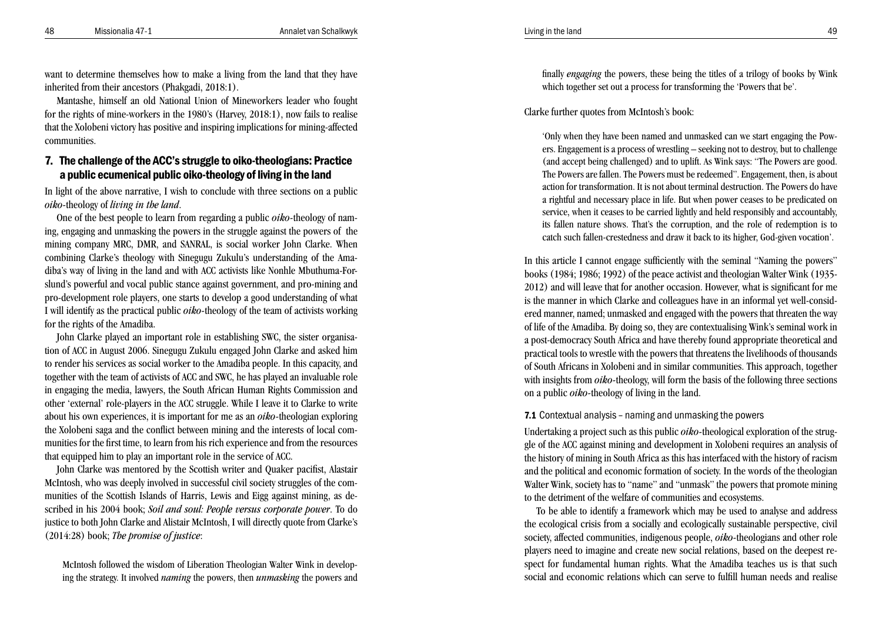want to determine themselves how to make a living from the land that they have inherited from their ancestors (Phakgadi, 2018:1).

Mantashe, himself an old National Union of Mineworkers leader who fought for the rights of mine-workers in the 1980's (Harvey, 2018:1), now fails to realise that the Xolobeni victory has positive and inspiring implications for mining-affected communities.

## 7. The challenge of the ACC's struggle to oiko-theologians: Practice a public ecumenical public oiko-theology of living in the land

In light of the above narrative, I wish to conclude with three sections on a public *oiko-*theology of *living in the land*.

One of the best people to learn from regarding a public *oiko-*theology of nam ing, engaging and unmasking the powers in the struggle against the powers of the mining company MRC, DMR, and SANRAL, is social worker John Clarke. When combining Clarke's theology with Sinegugu Zukulu's understanding of the Ama diba's way of living in the land and with ACC activists like Nonhle Mbuthuma-Forslund's powerful and vocal public stance against government, and pro-mining and pro-development role players, one starts to develop a good understanding of what I will identify as the practical public *oiko-*theology of the team of activists working for the rights of the Amadiba.

John Clarke played an important role in establishing SWC, the sister organisa tion of ACC in August 2006. Sinegugu Zukulu engaged John Clarke and asked him to render his services as social worker to the Amadiba people. In this capacity, and together with the team of activists of ACC and SWC, he has played an invaluable role in engaging the media, lawyers, the South African Human Rights Commission and other 'external' role-players in the ACC struggle. While I leave it to Clarke to write about his own experiences, it is important for me as an *oiko-*theologian exploring the Xolobeni saga and the conflict between mining and the interests of local com munities for the first time, to learn from his rich experience and from the resources that equipped him to play an important role in the service of ACC.

John Clarke was mentored by the Scottish writer and Quaker pacifist, Alastair McIntosh, who was deeply involved in successful civil society struggles of the com munities of the Scottish Islands of Harris, Lewis and Eigg against mining, as de scribed in his 2004 book; *Soil and soul: People versus corporate power*. To do justice to both John Clarke and Alistair McIntosh, I will directly quote from Clarke's (2014:28) book; *The promise of justice* :

McIntosh followed the wisdom of Liberation Theologian Walter Wink in develop ing the strategy. It involved *naming* the powers, then *unmasking* the powers and

finally *engaging* the powers, these being the titles of a trilogy of books by Wink which together set out a process for transforming the 'Powers that be'.

Clarke further quotes from McIntosh's book:

'Only when they have been named and unmasked can we start engaging the Pow ers. Engagement is a process of wrestling – seeking not to destroy, but to challenge (and accept being challenged) and to uplift. As Wink says: "The Powers are good. The Powers are fallen. The Powers must be redeemed". Engagement, then, is about action for transformation. It is not about terminal destruction. The Powers do have a rightful and necessary place in life. But when power ceases to be predicated on service, when it ceases to be carried lightly and held responsibly and accountably, its fallen nature shows. That's the corruption, and the role of redemption is to catch such fallen-crestedness and draw it back to its higher, God-given vocation'.

In this article I cannot engage sufficiently with the seminal "Naming the powers" books (1984; 1986; 1992) of the peace activist and theologian Walter Wink (1935- 2012) and will leave that for another occasion. However, what is significant for me is the manner in which Clarke and colleagues have in an informal yet well-consid ered manner, named; unmasked and engaged with the powers that threaten the way of life of the Amadiba. By doing so, they are contextualising Wink's seminal work in a post-democracy South Africa and have thereby found appropriate theoretical and practical tools to wrestle with the powers that threatens the livelihoods of thousands of South Africans in Xolobeni and in similar communities. This approach, together with insights from *oiko-*theology, will form the basis of the following three sections on a public *oiko-*theology of living in the land.

#### 7.1 Contextual analysis – naming and unmasking the powers

Undertaking a project such as this public *oiko-*theological exploration of the strug gle of the ACC against mining and development in Xolobeni requires an analysis of the history of mining in South Africa as this has interfaced with the history of racism and the political and economic formation of society. In the words of the theologian Walter Wink, society has to "name" and "unmask" the powers that promote mining to the detriment of the welfare of communities and ecosystems.

To be able to identify a framework which may be used to analyse and address the ecological crisis from a socially and ecologically sustainable perspective, civil society, affected communities, indigenous people, *oiko-*theologians and other role players need to imagine and create new social relations, based on the deepest re spect for fundamental human rights. What the Amadiba teaches us is that such social and economic relations which can serve to fulfill human needs and realise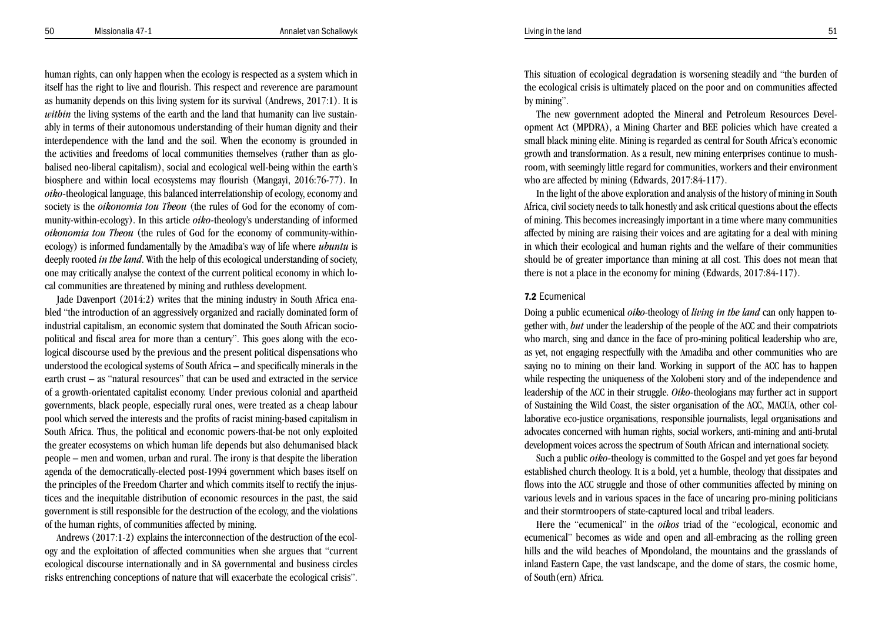human rights, can only happen when the ecology is respected as a system which in itself has the right to live and flourish. This respect and reverence are paramount as humanity depends on this living system for its survival (Andrews, 2017:1). It is *within* the living systems of the earth and the land that humanity can live sustainably in terms of their autonomous understanding of their human dignity and their interdependence with the land and the soil. When the economy is grounded in the activities and freedoms of local communities themselves (rather than as globalised neo-liberal capitalism), social and ecological well-being within the earth's biosphere and within local ecosystems may flourish (Mangayi, 2016:76-77). In *oiko-*theological language, this balanced interrelationship of ecology, economy and society is the *oikonomia tou Theou* (the rules of God for the economy of community-within-ecology). In this article *oiko-*theology's understanding of informed *oikonomia tou Theou* (the rules of God for the economy of community-withinecology) is informed fundamentally by the Amadiba's way of life where *ubuntu* is deeply rooted *in the land*. With the help of this ecological understanding of society, one may critically analyse the context of the current political economy in which local communities are threatened by mining and ruthless development.

Jade Davenport (2014:2) writes that the mining industry in South Africa enabled "the introduction of an aggressively organized and racially dominated form of industrial capitalism, an economic system that dominated the South African sociopolitical and fiscal area for more than a century". This goes along with the ecological discourse used by the previous and the present political dispensations who understood the ecological systems of South Africa – and specifically minerals in the earth crust – as "natural resources" that can be used and extracted in the service of a growth-orientated capitalist economy. Under previous colonial and apartheid governments, black people, especially rural ones, were treated as a cheap labour pool which served the interests and the profits of racist mining-based capitalism in South Africa. Thus, the political and economic powers-that-be not only exploited the greater ecosystems on which human life depends but also dehumanised black people – men and women, urban and rural. The irony is that despite the liberation agenda of the democratically-elected post-1994 government which bases itself on the principles of the Freedom Charter and which commits itself to rectify the injustices and the inequitable distribution of economic resources in the past, the said government is still responsible for the destruction of the ecology, and the violations of the human rights, of communities affected by mining.

Andrews (2017:1-2) explains the interconnection of the destruction of the ecology and the exploitation of affected communities when she argues that "current ecological discourse internationally and in SA governmental and business circles risks entrenching conceptions of nature that will exacerbate the ecological crisis". This situation of ecological degradation is worsening steadily and "the burden of the ecological crisis is ultimately placed on the poor and on communities affected by mining".

The new government adopted the Mineral and Petroleum Resources Development Act (MPDRA), a Mining Charter and BEE policies which have created a small black mining elite. Mining is regarded as central for South Africa's economic growth and transformation. As a result, new mining enterprises continue to mushroom, with seemingly little regard for communities, workers and their environment who are affected by mining (Edwards, 2017:84-117).

In the light of the above exploration and analysis of the history of mining in South Africa, civil society needs to talk honestly and ask critical questions about the effects of mining. This becomes increasingly important in a time where many communities affected by mining are raising their voices and are agitating for a deal with mining in which their ecological and human rights and the welfare of their communities should be of greater importance than mining at all cost. This does not mean that there is not a place in the economy for mining (Edwards, 2017:84-117).

#### 7.2 Ecumenical

Doing a public ecumenical *oiko*-theology of *living in the land* can only happen together with, *but* under the leadership of the people of the ACC and their compatriots who march, sing and dance in the face of pro-mining political leadership who are, as yet, not engaging respectfully with the Amadiba and other communities who are saying no to mining on their land. Working in support of the ACC has to happen while respecting the uniqueness of the Xolobeni story and of the independence and leadership of the ACC in their struggle. *Oiko-*theologians may further act in support of Sustaining the Wild Coast, the sister organisation of the ACC, MACUA, other collaborative eco-justice organisations, responsible journalists, legal organisations and advocates concerned with human rights, social workers, anti-mining and anti-brutal development voices across the spectrum of South African and international society.

Such a public *oiko-*theology is committed to the Gospel and yet goes far beyond established church theology. It is a bold, yet a humble, theology that dissipates and flows into the ACC struggle and those of other communities affected by mining on various levels and in various spaces in the face of uncaring pro-mining politicians and their stormtroopers of state-captured local and tribal leaders.

Here the "ecumenical" in the *oikos* triad of the "ecological, economic and ecumenical" becomes as wide and open and all-embracing as the rolling green hills and the wild beaches of Mpondoland, the mountains and the grasslands of inland Eastern Cape, the vast landscape, and the dome of stars, the cosmic home, of South(ern) Africa.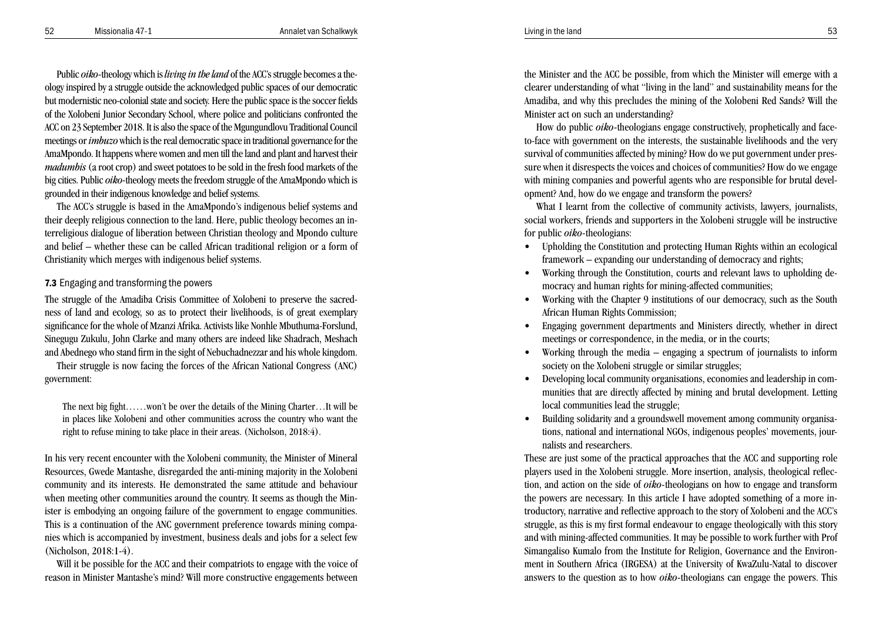52 Missionalia 47-1 Annalet van Schalkwyk Living in the land Living in the land Schalkwyk S3

Public *oiko-*theology which is *living in the land* of the ACC's struggle becomes a theology inspired by a struggle outside the acknowledged public spaces of our democratic but modernistic neo-colonial state and society. Here the public space is the soccer fields of the Xolobeni Junior Secondary School, where police and politicians confronted the ACC on 23 September 2018. It is also the space of the Mgungundlovu Traditional Council meetings or *imbuzo* which is the real democratic space in traditional governance for the AmaMpondo. It happens where women and men till the land and plant and harvest their *madumbis* (a root crop) and sweet potatoes to be sold in the fresh food markets of the big cities. Public *oiko-*theology meets the freedom struggle of the AmaMpondo which is grounded in their indigenous knowledge and belief systems.

The ACC's struggle is based in the AmaMpondo's indigenous belief systems and their deeply religious connection to the land. Here, public theology becomes an interreligious dialogue of liberation between Christian theology and Mpondo culture and belief – whether these can be called African traditional religion or a form of Christianity which merges with indigenous belief systems.

## 7.3 Engaging and transforming the powers

The struggle of the Amadiba Crisis Committee of Xolobeni to preserve the sacredness of land and ecology, so as to protect their livelihoods, is of great exemplary significance for the whole of Mzanzi Afrika. Activists like Nonhle Mbuthuma-Forslund, Sinegugu Zukulu, John Clarke and many others are indeed like Shadrach, Meshach and Abednego who stand firm in the sight of Nebuchadnezzar and his whole kingdom.

Their struggle is now facing the forces of the African National Congress (ANC) government:

The next big fight……won't be over the details of the Mining Charter…It will be in places like Xolobeni and other communities across the country who want the right to refuse mining to take place in their areas. (Nicholson, 2018:4).

In his very recent encounter with the Xolobeni community, the Minister of Mineral Resources, Gwede Mantashe, disregarded the anti-mining majority in the Xolobeni community and its interests. He demonstrated the same attitude and behaviour when meeting other communities around the country. It seems as though the Minister is embodying an ongoing failure of the government to engage communities. This is a continuation of the ANC government preference towards mining companies which is accompanied by investment, business deals and jobs for a select few (Nicholson, 2018:1-4).

Will it be possible for the ACC and their compatriots to engage with the voice of reason in Minister Mantashe's mind? Will more constructive engagements between the Minister and the ACC be possible, from which the Minister will emerge with a clearer understanding of what "living in the land" and sustainability means for the Amadiba, and why this precludes the mining of the Xolobeni Red Sands? Will the Minister act on such an understanding?

How do public *oiko-*theologians engage constructively, prophetically and faceto-face with government on the interests, the sustainable livelihoods and the very survival of communities affected by mining? How do we put government under pressure when it disrespects the voices and choices of communities? How do we engage with mining companies and powerful agents who are responsible for brutal development? And, how do we engage and transform the powers?

What I learnt from the collective of community activists, lawyers, journalists, social workers, friends and supporters in the Xolobeni struggle will be instructive for public *oiko-*theologians:

- • Upholding the Constitution and protecting Human Rights within an ecological framework – expanding our understanding of democracy and rights;
- Working through the Constitution, courts and relevant laws to upholding democracy and human rights for mining-affected communities;
- • Working with the Chapter 9 institutions of our democracy, such as the South African Human Rights Commission;
- Engaging government departments and Ministers directly, whether in direct meetings or correspondence, in the media, or in the courts;
- Working through the media engaging a spectrum of journalists to inform society on the Xolobeni struggle or similar struggles:
- • Developing local community organisations, economies and leadership in communities that are directly affected by mining and brutal development. Letting local communities lead the struggle;
- Building solidarity and a groundswell movement among community organisations, national and international NGOs, indigenous peoples' movements, journalists and researchers.

These are just some of the practical approaches that the ACC and supporting role players used in the Xolobeni struggle. More insertion, analysis, theological reflection, and action on the side of *oiko-*theologians on how to engage and transform the powers are necessary. In this article I have adopted something of a more introductory, narrative and reflective approach to the story of Xolobeni and the ACC's struggle, as this is my first formal endeavour to engage theologically with this story and with mining-affected communities. It may be possible to work further with Prof Simangaliso Kumalo from the Institute for Religion, Governance and the Environment in Southern Africa (IRGESA) at the University of KwaZulu-Natal to discover answers to the question as to how *oiko-*theologians can engage the powers. This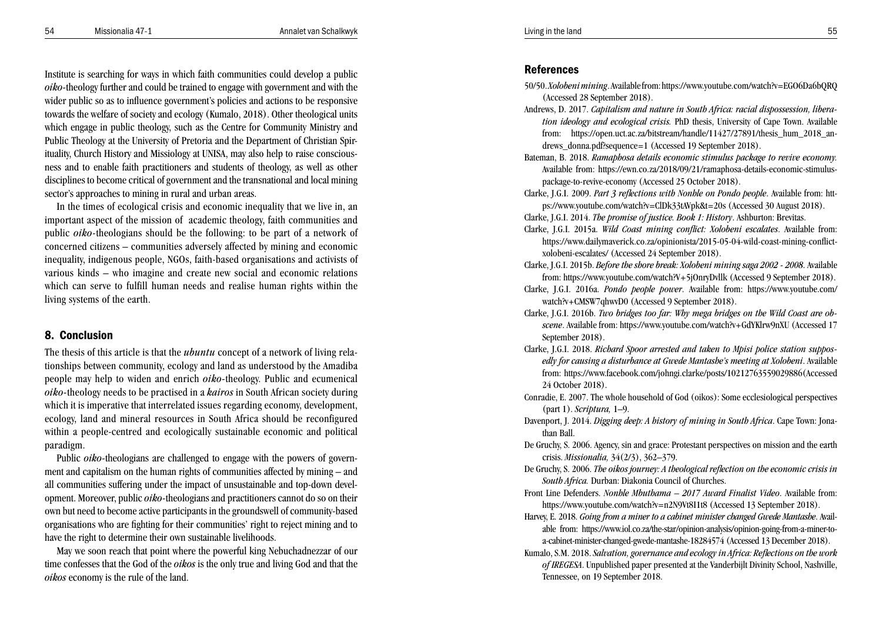## Institute is searching for ways in which faith communities could develop a public *oiko-*theology further and could be trained to engage with government and with the wider public so as to influence government's policies and actions to be responsive towards the welfare of society and ecology (Kumalo, 2018). Other theological units which engage in public theology, such as the Centre for Community Ministry and Public Theology at the University of Pretoria and the Department of Christian Spirituality, Church History and Missiology at UNISA, may also help to raise consciousness and to enable faith practitioners and students of theology, as well as other disciplines to become critical of government and the transnational and local mining sector's approaches to mining in rural and urban areas.

In the times of ecological crisis and economic inequality that we live in, an important aspect of the mission of academic theology, faith communities and public *oiko-*theologians should be the following: to be part of a network of concerned citizens – communities adversely affected by mining and economic inequality, indigenous people, NGOs, faith-based organisations and activists of various kinds – who imagine and create new social and economic relations which can serve to fulfill human needs and realise human rights within the living systems of the earth.

## 8. Conclusion

The thesis of this article is that the *ubuntu* concept of a network of living rela tionships between community, ecology and land as understood by the Amadiba people may help to widen and enrich *oiko-*theology. Public and ecumenical *oiko-*theology needs to be practised in a *kairos* in South African society during which it is imperative that interrelated issues regarding economy, development, ecology, land and mineral resources in South Africa should be reconfigured within a people-centred and ecologically sustainable economic and political paradigm.

Public *oiko-*theologians are challenged to engage with the powers of govern ment and capitalism on the human rights of communities affected by mining – and all communities suffering under the impact of unsustainable and top-down devel opment. Moreover, public *oiko-*theologians and practitioners cannot do so on their own but need to become active participants in the groundswell of community-based organisations who are fighting for their communities' right to reject mining and to have the right to determine their own sustainable livelihoods.

May we soon reach that point where the powerful king Nebuchadnezzar of our time confesses that the God of the *oikos* is the only true and living God and that the *oikos* economy is the rule of the land.

### References

- 50/50. *Xolobeni mining*. Available from: https://www.youtube.com/watch?v=EGO6Da6bQRQ (Accessed 28 September 2018).
- Andrews, D. 2017. *Capitalism and nature in South Africa: racial dispossession, libera tion ideology and ecological crisis.* PhD thesis, University of Cape Town. Available from: https://open.uct.ac.za/bitstream/handle/11427/27891/thesis\_hum\_2018\_an drews\_donna.pdf?sequence=1 (Accessed 19 September 2018).
- Bateman, B. 2018. *Ramaphosa details economic stimulus package to revive economy.* Available from: https://ewn.co.za/2018/09/21/ramaphosa-details-economic-stimuluspackage-to-revive-economy (Accessed 25 October 2018).
- Clarke, J.G.I. 2009. *Part 3 reflections with Nonhle on Pondo people*. Available from: htt ps://www.youtube.com/watch?v=ClDk33tAVpk&t=20s (Accessed 30 August 2018).
- Clarke, J.G.I. 2014. *The promise of justice. Book 1: History*. Ashburton: Brevitas.
- Clarke, J.G.I. 2015a. *Wild Coast mining conflict: Xolobeni escalates*. Available from: https://www.dailymaverick.co.za/opinionista/2015-05-04-wild-coast-mining-conflictxolobeni-escalates/ (Accessed 24 September 2018).
- Clarke, J.G.I. 2015b. *Before the shore break: Xolobeni mining saga 2002 2008*. Available from: https://www.youtube.com/watch?V+5jOnryDvllk (Accessed 9 September 2018).
- Clarke, J.G.I. 2016a. *Pondo people power*. Available from: https://www.youtube.com/ watch?v+CMSW7qhwvD0 (Accessed 9 September 2018).
- Clarke, J.G.I. 2016b. *Two bridges too far: Why mega bridges on the Wild Coast are ob scene*. Available from: https://www.youtube.com/watch?v+GdYKlrw9nXU (Accessed 17 September 2018).
- Clarke, J.G.I. 2018. *Richard Spoor arrested and taken to Mpisi police station suppos edly for causing a disturbance at Gwede Mantashe's meeting at Xolobeni*. Available from: https://www.facebook.com/johngi.clarke/posts/10212763559029886(Accessed 24 October 2018).
- Conradie, E. 2007. The whole household of God (oikos): Some ecclesiological perspectives (part 1). *Scriptura,* 1–9.
- Davenport, J. 2014. *Digging deep: A history of mining in South Africa*. Cape Town: Jona than Ball.
- De Gruchy, S. 2006. Agency, sin and grace: Protestant perspectives on mission and the earth crisis. *Missionalia,* 34(2/3), 362–379.
- De Gruchy, S. 2006. *The oikos journey: A theological reflection on the economic crisis in South Africa.* Durban: Diakonia Council of Churches.
- Front Line Defenders. *Nonhle Mbuthama 2017 Award Finalist Video*. Available from: https://www.youtube.com/watch?v=n2N9Vt8I1t8 (Accessed 13 September 2018).
- Harvey, E. 2018. *Going from a miner to a cabinet minister changed Gwede Mantashe*. Avail able from: https://www.iol.co.za/the-star/opinion-analysis/opinion-going-from-a-miner-toa-cabinet-minister-changed-gwede-mantashe-18284574 (Accessed 13 December 2018).
- Kumalo, S.M. 2018. *Salvation, governance and ecology in Africa: Reflections on the work of IREGESA*. Unpublished paper presented at the Vanderbijlt Divinity School, Nashville, Tennessee, on 19 September 2018.